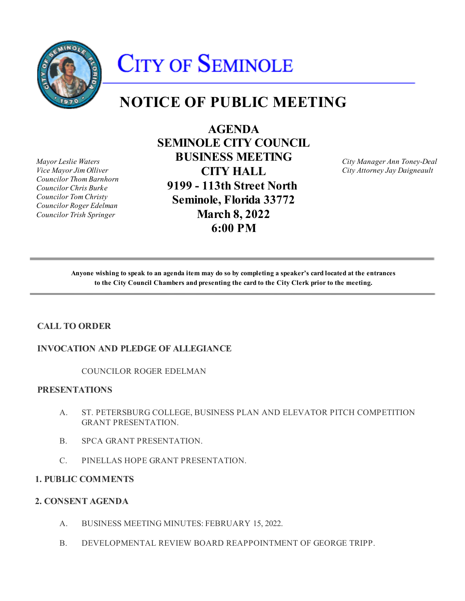

# **CITY OF SEMINOLE**

# **NOTICE OF PUBLIC MEETING**

**Mayor Leslie Waters** *Vice Mayor Jim Olliver Councilor Thom Barnhorn Councilor Chris Burke Councilor Tom Christy Councilor Roger Edelman Councilor Trish Springer* 

 **SEMINOLE CITY COUNCIL**  *Councilor Chris Burke* **9199 - 113th Street North**  *Councilor Tom Christy* **Seminole, Florida 33772** *Councilor Roger Edelman*  *Councilor Trish Springer* **March 8, 2022**  *Vice Mayor Jim Olliver* **CITY HALL** *City Attorney Jay Daigneault* **AGENDA** *Mayor Leslie Waters* **BUSINESS MEETING** *City Manager Ann Toney-Deal* **6:00 PM**

**City Manager Ann Toney-Deal** 

**Anyone wishing to speak to an agenda item may do so by completing a speaker's card located at the entrances to the City Council Chambers and presenting the card to the City Clerk prior to the meeting.**

## **CALL TO ORDER**

#### **INVOCATION AND PLEDGE OF ALLEGIANCE**

COUNCILOR ROGER EDELMAN

#### **PRESENTATIONS**

- A. ST. PETERSBURG COLLEGE, BUSINESS PLAN AND ELEVATOR PITCH COMPETITION GRANT PRESENTATION.
- $B<sub>1</sub>$ SPCA GRANT PRESENTATION.
- C. PINELLAS HOPE GRANT PRESENTATION.

#### **1. PUBLIC COMMENTS**

#### **2. CONSENT AGENDA**

- A. BUSINESS MEETING MINUTES: FEBRUARY 15, 2022.
- B. DEVELOPMENTAL REVIEW BOARD REAPPOINTMENT OF GEORGE TRIPP.